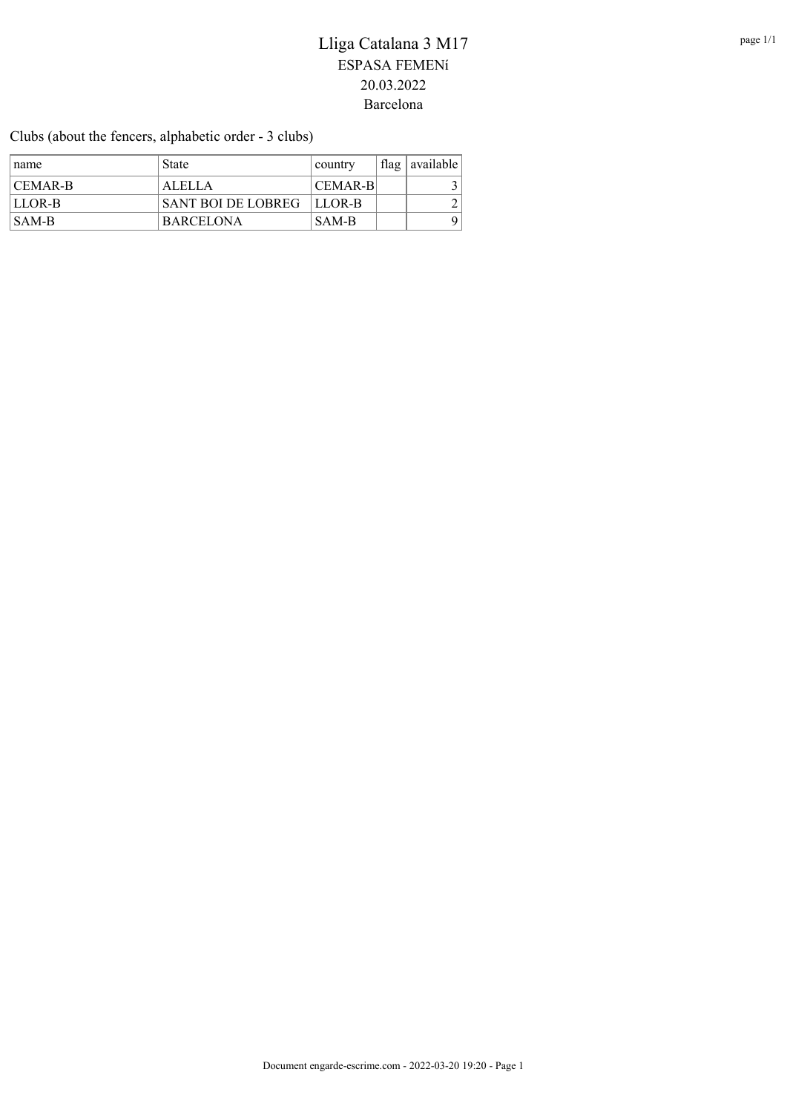Clubs (about the fencers, alphabetic order - 3 clubs)

| name                      | <b>State</b>                | country | flag   available |
|---------------------------|-----------------------------|---------|------------------|
| $ CEMAR-B $               | ALELLA                      | CEMAR-B |                  |
| <b>ILLOR-B</b>            | SANT BOI DE LOBREG   LLOR-B |         |                  |
| $\overline{\text{SAM-B}}$ | <b>BARCELONA</b>            | SAM-B   | 9 I              |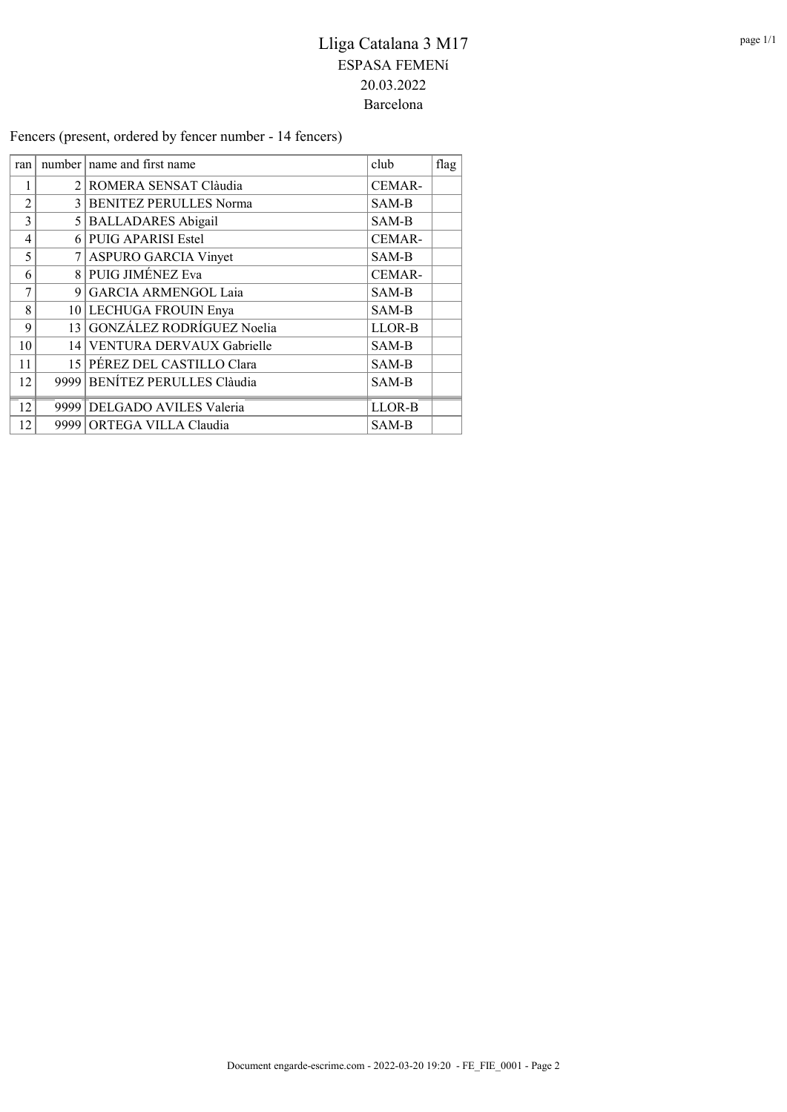Fencers (present, ordered by fencer number - 14 fencers)

| ran            | number   name and first name  | club   | flag |
|----------------|-------------------------------|--------|------|
| 1              | 2 ROMERA SENSAT Clàudia       | CEMAR- |      |
| $\overline{2}$ | 3 BENITEZ PERULLES Norma      | SAM-B  |      |
| 3              | 5 BALLADARES Abigail          | SAM-B  |      |
| $\overline{4}$ | 6 PUIG APARISI Estel          | CEMAR- |      |
| 5              | 7 ASPURO GARCIA Vinyet        | SAM-B  |      |
| 6              | 8 PUIG JIMÉNEZ Eva            | CEMAR- |      |
| 7              | 9 GARCIA ARMENGOL Laia        | SAM-B  |      |
| 8              | 10 LECHUGA FROUIN Enya        | SAM-B  |      |
| 9              | 13 GONZÁLEZ RODRÍGUEZ Noelia  | LLOR-B |      |
| 10             | 14 VENTURA DERVAUX Gabrielle  | SAM-B  |      |
| 11             | 15 PÉREZ DEL CASTILLO Clara   | SAM-B  |      |
| 12             | 9999 BENÍTEZ PERULLES Clàudia | SAM-B  |      |
| 12             | 9999 DELGADO AVILES Valeria   | LLOR-B |      |
| 12             | 9999 ORTEGA VILLA Claudia     | SAM-B  |      |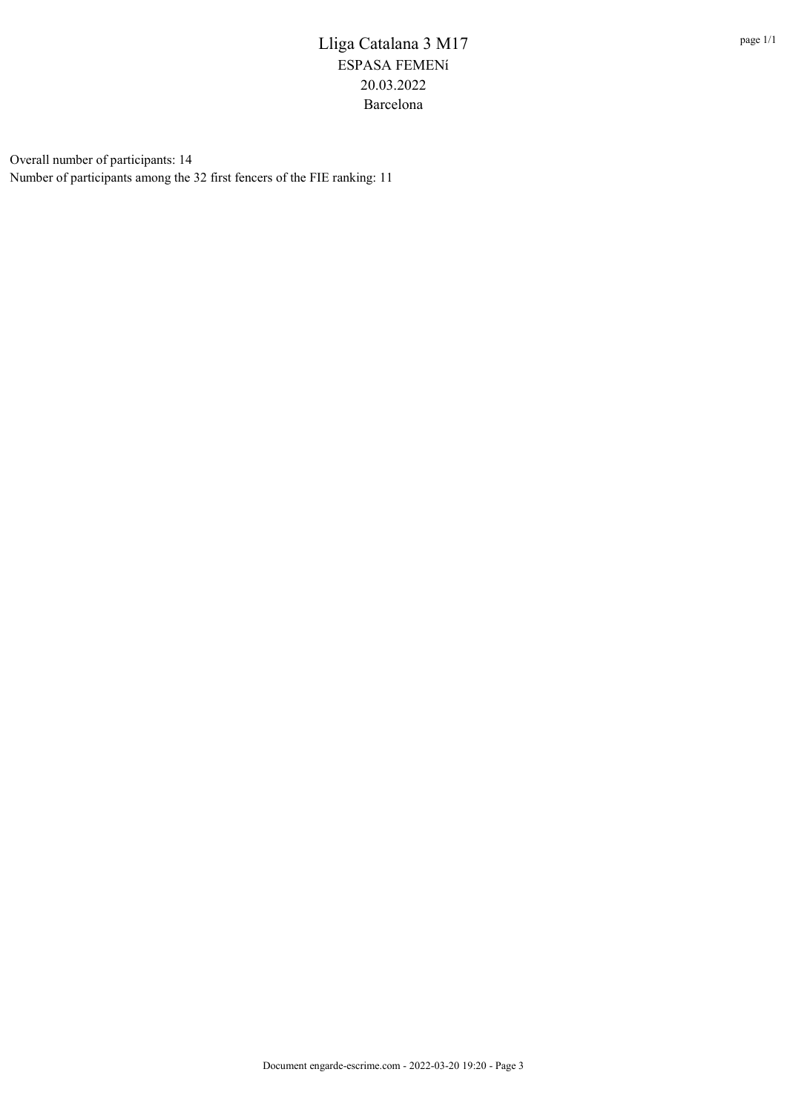Overall number of participants: 14 Number of participants among the 32 first fencers of the FIE ranking: 11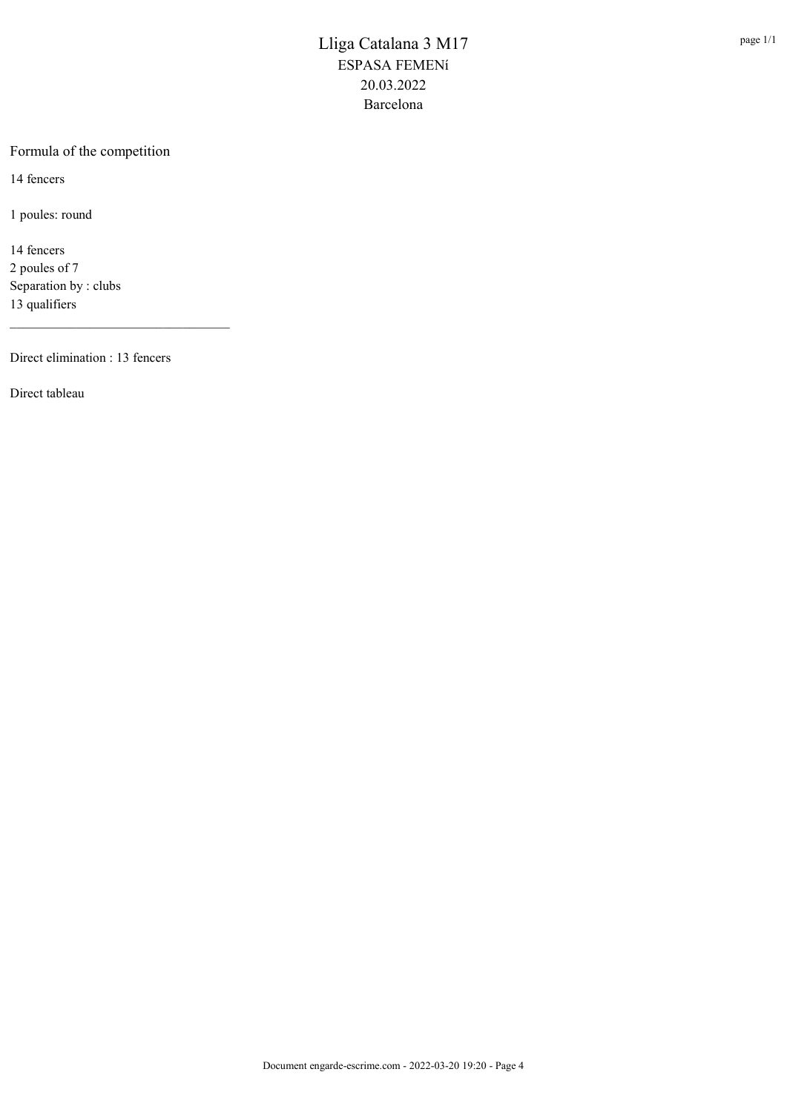#### Formula of the competition

14 fencers

1 poules: round

14 fencers 2 poules of 7 Separation by : clubs 13 qualifiers

Direct elimination : 13 fencers

\_\_\_\_\_\_\_\_\_\_\_\_\_\_\_\_\_\_\_\_\_\_\_\_\_\_\_\_\_\_\_\_\_

Direct tableau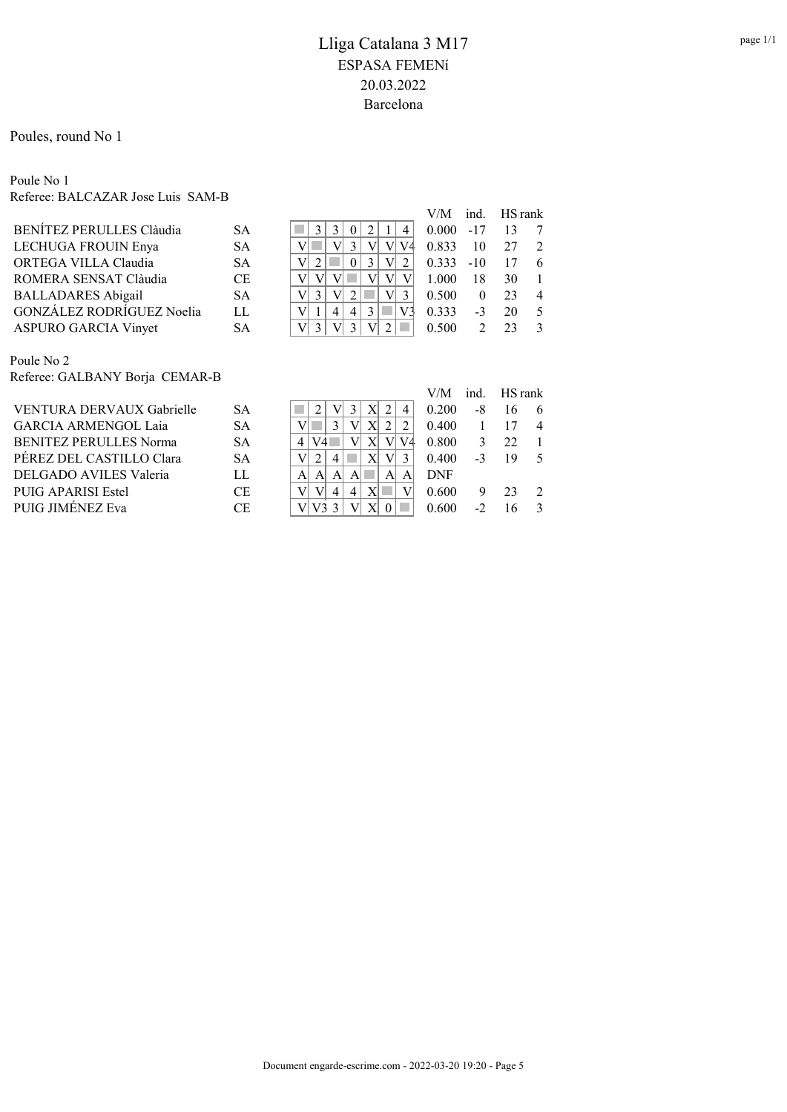Poules, round No 1

#### Poule No 1 Referee: BALCAZAR Jose Luis SAM-B

|                                  |           |                            | V/M   |               | ind. HS rank |                |
|----------------------------------|-----------|----------------------------|-------|---------------|--------------|----------------|
| BENITEZ PERULLES Clàudia         | <b>SA</b> | 3<br>2<br>4                | 0.000 | $-17$         | 13           |                |
| LECHUGA FROUIN Enya              | <b>SA</b> | V4                         | 0.833 | 10            | 27           | $\mathcal{L}$  |
| ORTEGA VILLA Claudia             | <b>SA</b> | 3                          | 0.333 | $-10$         | 17           | 6              |
| ROMERA SENSAT Clàudia            | <b>CE</b> |                            | 1.000 | 18            | 30           |                |
| <b>BALLADARES Abigail</b>        | <b>SA</b> | 3<br>V<br>V<br>3           | 0.500 | $\theta$      | 23           | $\overline{4}$ |
| <b>GONZALEZ RODRÍGUEZ Noelia</b> | LL        | 3<br>4<br>4'               | 0.333 | $-3$          | 20           | 5              |
| ASPURO GARCIA Vinyet             | <b>SA</b> | $V_1$<br>V<br>$\mathbf{R}$ | 0.500 | $\mathcal{D}$ | 23           | $\mathcal{E}$  |
|                                  |           |                            |       |               |              |                |
| Poule No 2                       |           |                            |       |               |              |                |

Referee: GALBANY Borja CEMAR-B

|                               |           |                | V/M        | ind. | HS rank |                |
|-------------------------------|-----------|----------------|------------|------|---------|----------------|
| VENTURA DERVAUX Gabrielle     | SА        | 4              | 0.200      | -8   |         | 6              |
| <b>GARCIA ARMENGOL Laja</b>   | <b>SA</b> |                | 0.400      |      |         | $\overline{4}$ |
| <b>BENITEZ PERULLES Norma</b> | <b>SA</b> | $\overline{4}$ | 0.800      |      | 22      |                |
| PÉREZ DEL CASTILLO Clara      | <b>SA</b> |                | 0.400      |      | 19      | $\sim$         |
| DELGADO AVILES Valeria        | LL        | A              | <b>DNF</b> |      |         |                |
| PUIG APARISI Estel            | CE        | 4              | 0.600      |      | 23      |                |
| PUIG JIMÉNEZ Eva              | СE        |                | 0.600      |      |         | $\mathcal{R}$  |
|                               |           |                |            |      |         |                |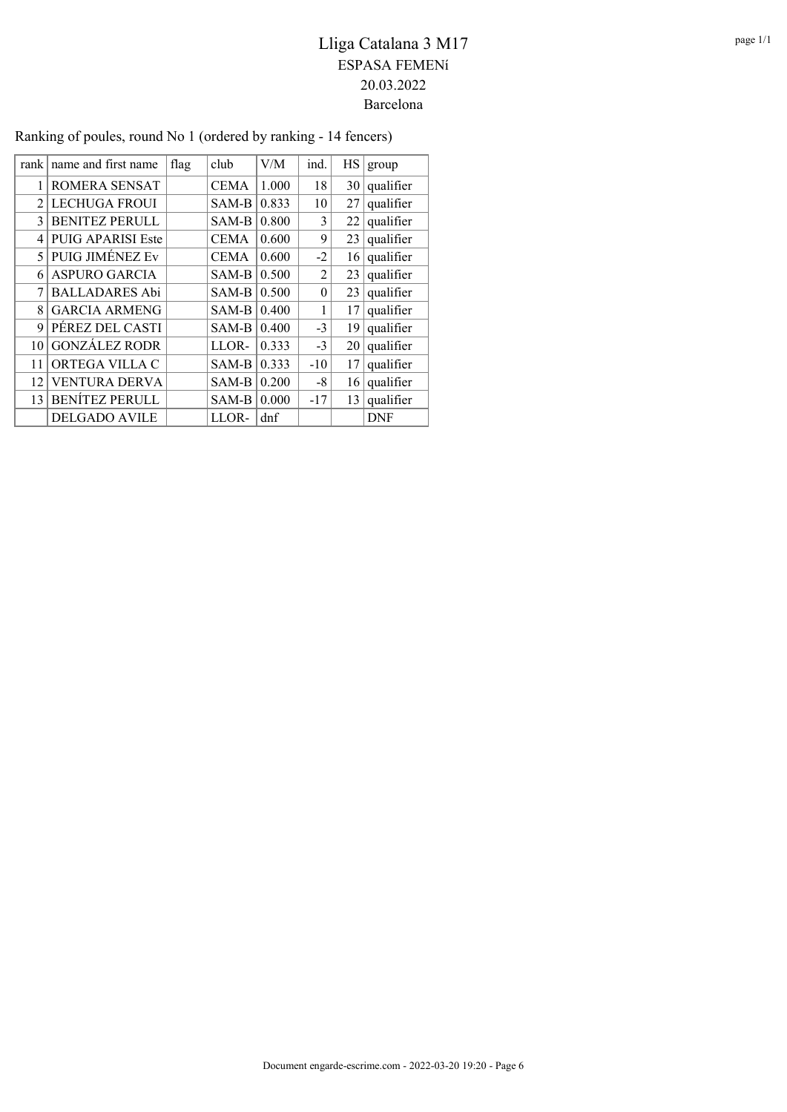| rank           | name and first name    | flag | club        | V/M   | ind.     | НS | group     |
|----------------|------------------------|------|-------------|-------|----------|----|-----------|
| 1              | ROMERA SENSAT          |      | <b>CEMA</b> | 1.000 | 18       | 30 | qualifier |
| $\overline{2}$ | <b>LECHUGA FROUI</b>   |      | SAM-B       | 0.833 | 10       | 27 | qualifier |
| 3              | <b>BENITEZ PERULL</b>  |      | SAM-B       | 0.800 | 3        | 22 | qualifier |
| 4              | PUIG APARISI Este      |      | <b>CEMA</b> | 0.600 | 9        | 23 | qualifier |
| 5              | <b>PUIG JIMÉNEZ Ev</b> |      | <b>CEMA</b> | 0.600 | $-2$     | 16 | qualifier |
| 6              | <b>ASPURO GARCIA</b>   |      | SAM-B       | 0.500 | 2        | 23 | qualifier |
| 7              | <b>BALLADARES Abi</b>  |      | SAM-B       | 0.500 | $\theta$ | 23 | qualifier |
| 8              | <b>GARCIA ARMENG</b>   |      | SAM-B       | 0.400 | 1        | 17 | qualifier |
| 9              | PÉREZ DEL CASTI        |      | SAM-B       | 0.400 | $-3$     | 19 | qualifier |
| 10             | <b>GONZÁLEZ RODR</b>   |      | LLOR-       | 0.333 | $-3$     | 20 | qualifier |
| 11             | ORTEGA VILLA C         |      | SAM-B       | 0.333 | $-10$    | 17 | qualifier |
| 12             | <b>VENTURA DERVA</b>   |      | SAM-B       | 0.200 | -8       | 16 | qualifier |
| 13             | <b>BENÍTEZ PERULL</b>  |      | SAM-B       | 0.000 | $-17$    | 13 | qualifier |
|                | <b>DELGADO AVILE</b>   |      | LLOR-       | dnf   |          |    | DNF       |

### Ranking of poules, round No 1 (ordered by ranking - 14 fencers)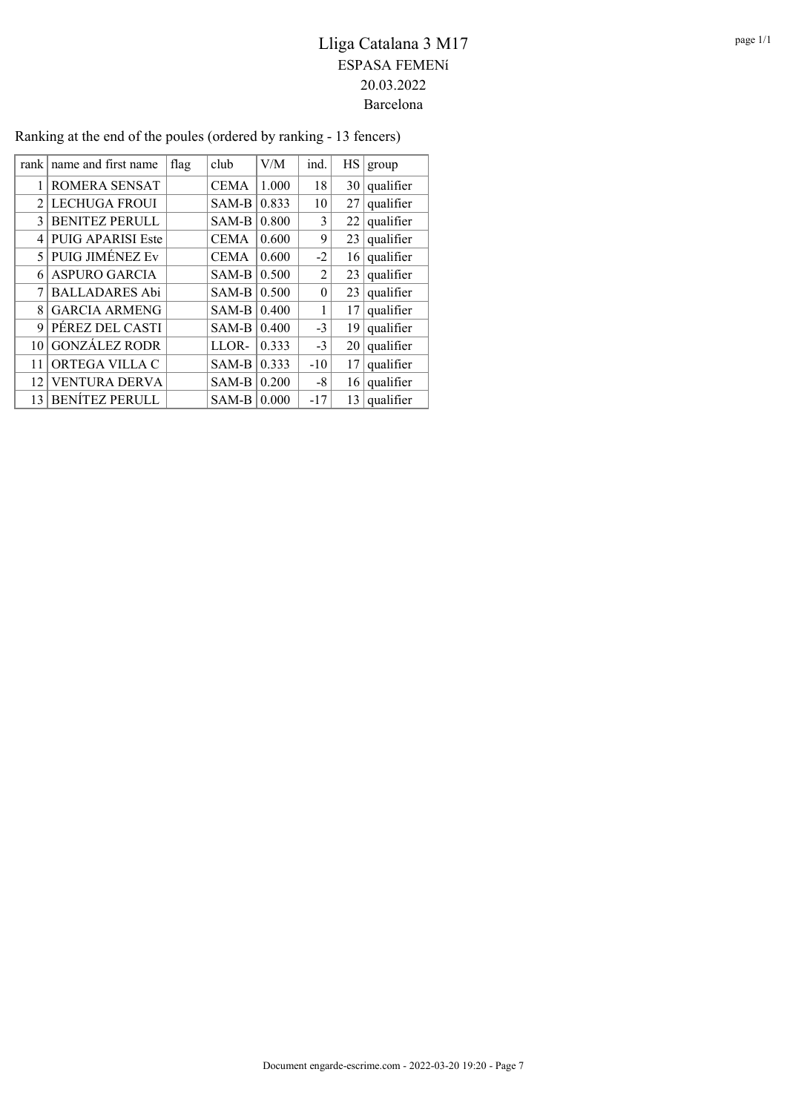| rank        | name and first name      | flag | club        | V/M   | ind.           | HS | group     |
|-------------|--------------------------|------|-------------|-------|----------------|----|-----------|
|             | ROMERA SENSAT            |      | <b>CEMA</b> | 1.000 | 18             | 30 | qualifier |
| $2^{\circ}$ | <b>LECHUGA FROUI</b>     |      | SAM-B       | 0.833 | 10             | 27 | qualifier |
| 3           | <b>BENITEZ PERULL</b>    |      | SAM-B       | 0.800 | 3              | 22 | qualifier |
| 4           | <b>PUIG APARISI Este</b> |      | <b>CEMA</b> | 0.600 | 9              | 23 | qualifier |
| 5.          | <b>PUIG JIMÉNEZ Ev</b>   |      | <b>CEMA</b> | 0.600 | $-2$           | 16 | qualifier |
| 6           | ASPURO GARCIA            |      | SAM-B       | 0.500 | $\overline{2}$ | 23 | qualifier |
| 7           | <b>BALLADARES Abi</b>    |      | SAM-B       | 0.500 | $\theta$       | 23 | qualifier |
| 8           | <b>GARCIA ARMENG</b>     |      | SAM-B       | 0.400 | 1              | 17 | qualifier |
| 9           | PÉREZ DEL CASTI          |      | $SAM-B$     | 0.400 | $-3$           | 19 | qualifier |
| 10          | <b>GONZÁLEZ RODR</b>     |      | LLOR-       | 0.333 | $-3$           | 20 | qualifier |
| 11          | ORTEGA VILLA C           |      | SAM-B       | 0.333 | $-10$          | 17 | qualifier |
| 12          | <b>VENTURA DERVA</b>     |      | SAM-B       | 0.200 | -8             | 16 | qualifier |
| 13          | <b>BENÍTEZ PERULL</b>    |      | SAM-B       | 0.000 | $-17$          | 13 | qualifier |

### Ranking at the end of the poules (ordered by ranking - 13 fencers)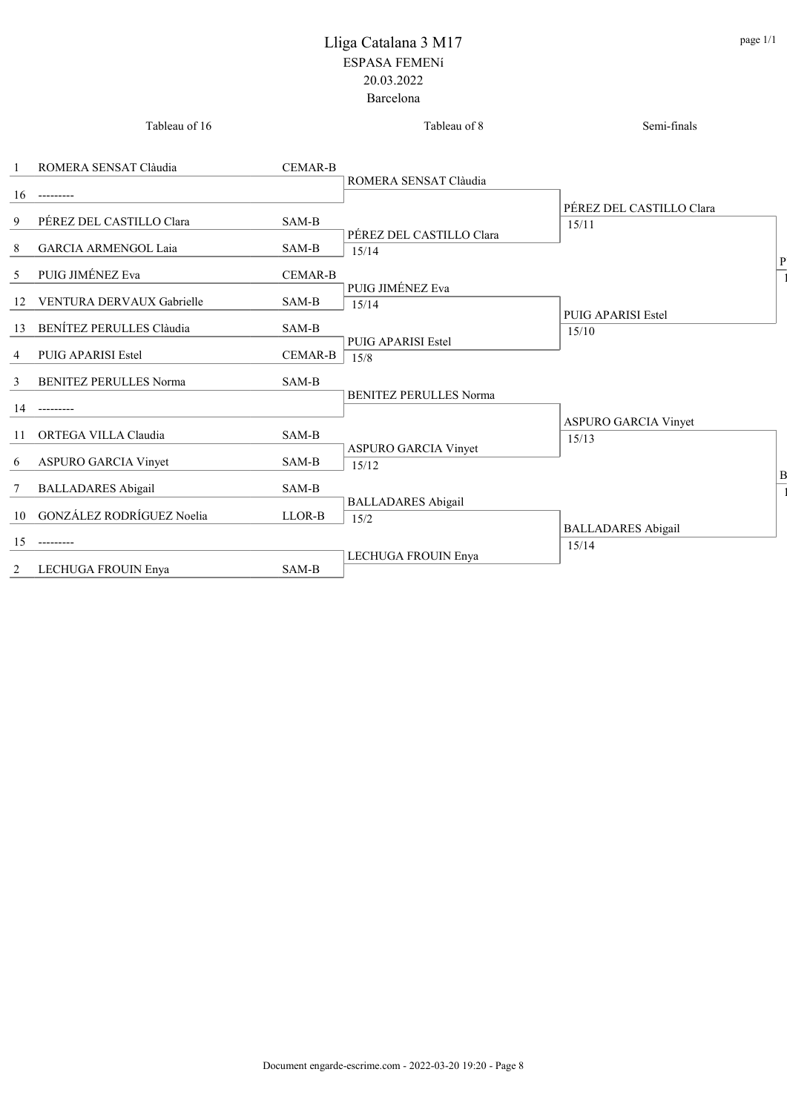|              | Tableau of 16                 |                | Tableau of 8                         | Semi-finals                          |
|--------------|-------------------------------|----------------|--------------------------------------|--------------------------------------|
| $\mathbf{1}$ | ROMERA SENSAT Clàudia         | <b>CEMAR-B</b> |                                      |                                      |
| 16           |                               |                | ROMERA SENSAT Clàudia                |                                      |
| 9            | PÉREZ DEL CASTILLO Clara      | SAM-B          |                                      | PÉREZ DEL CASTILLO Clara<br>15/11    |
| 8            | <b>GARCIA ARMENGOL Laia</b>   | SAM-B          | PÉREZ DEL CASTILLO Clara<br>15/14    |                                      |
| 5            | PUIG JIMÉNEZ Eva              | <b>CEMAR-B</b> |                                      |                                      |
|              | 12 VENTURA DERVAUX Gabrielle  | SAM-B          | PUIG JIMÉNEZ Eva<br>15/14            |                                      |
| 13           | BENÍTEZ PERULLES Clàudia      | SAM-B          |                                      | <b>PUIG APARISI Estel</b><br>15/10   |
| 4            | <b>PUIG APARISI Estel</b>     | <b>CEMAR-B</b> | <b>PUIG APARISI Estel</b><br>15/8    |                                      |
| 3            | <b>BENITEZ PERULLES Norma</b> | SAM-B          |                                      |                                      |
| 14           |                               |                | <b>BENITEZ PERULLES Norma</b>        |                                      |
|              | 11 ORTEGA VILLA Claudia       | SAM-B          |                                      | <b>ASPURO GARCIA Vinyet</b><br>15/13 |
| 6            | ASPURO GARCIA Vinyet          | SAM-B          | <b>ASPURO GARCIA Vinyet</b><br>15/12 |                                      |
| 7            | <b>BALLADARES</b> Abigail     | SAM-B          |                                      |                                      |
|              | 10 GONZÁLEZ RODRÍGUEZ Noelia  | LLOR-B         | <b>BALLADARES</b> Abigail<br>15/2    |                                      |
| 15           |                               |                |                                      | <b>BALLADARES</b> Abigail<br>15/14   |
| 2            | LECHUGA FROUIN Enva           | SAM-B          | LECHUGA FROUIN Enya                  |                                      |

 $\mathbf{1}$ 

P<sub>1</sub>

 $\mathbf{1}$ 

 $\mathbf B$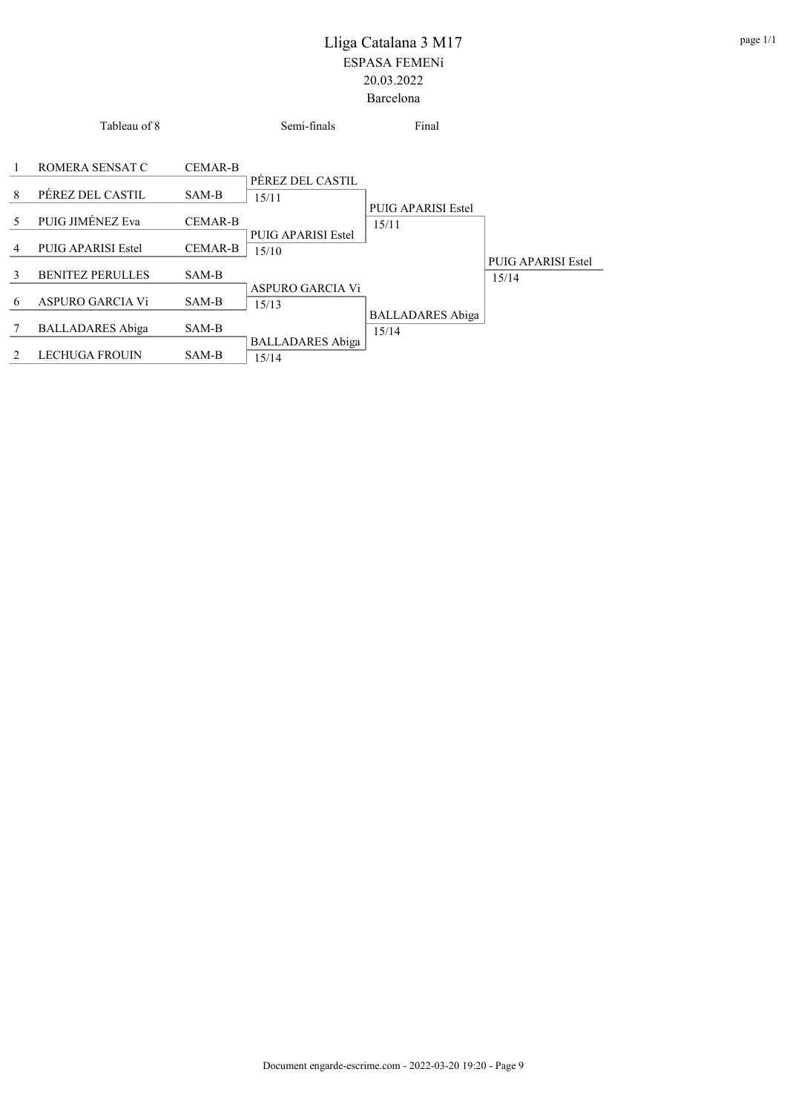|               | Tableau of 8              |                | Semi-finals                      | Final                            |                           |
|---------------|---------------------------|----------------|----------------------------------|----------------------------------|---------------------------|
| 1             | ROMERA SENSAT C           | <b>CEMAR-B</b> |                                  |                                  |                           |
| 8             | PÉREZ DEL CASTIL          | SAM-B          | PÉREZ DEL CASTIL<br>15/11        | PUIG APARISI Estel               |                           |
| 5             | PUIG JIMÉNEZ Eva          | <b>CEMAR-B</b> | PUIG APARISI Estel               | 15/11                            |                           |
| 4             | <b>PUIG APARISI Estel</b> | <b>CEMAR-B</b> | 15/10                            |                                  | <b>PUIG APARISI Estel</b> |
| $\mathcal{E}$ | <b>BENITEZ PERULLES</b>   | SAM-B          | ASPURO GARCIA Vi                 |                                  | 15/14                     |
| 6             | <b>ASPURO GARCIA Vi</b>   | SAM-B          | 15/13                            |                                  |                           |
| 7             | <b>BALLADARES</b> Abiga   | SAM-B          |                                  | <b>BALLADARES</b> Abiga<br>15/14 |                           |
| 2             | <b>LECHUGA FROUIN</b>     | SAM-B          | <b>BALLADARES</b> Abiga<br>15/14 |                                  |                           |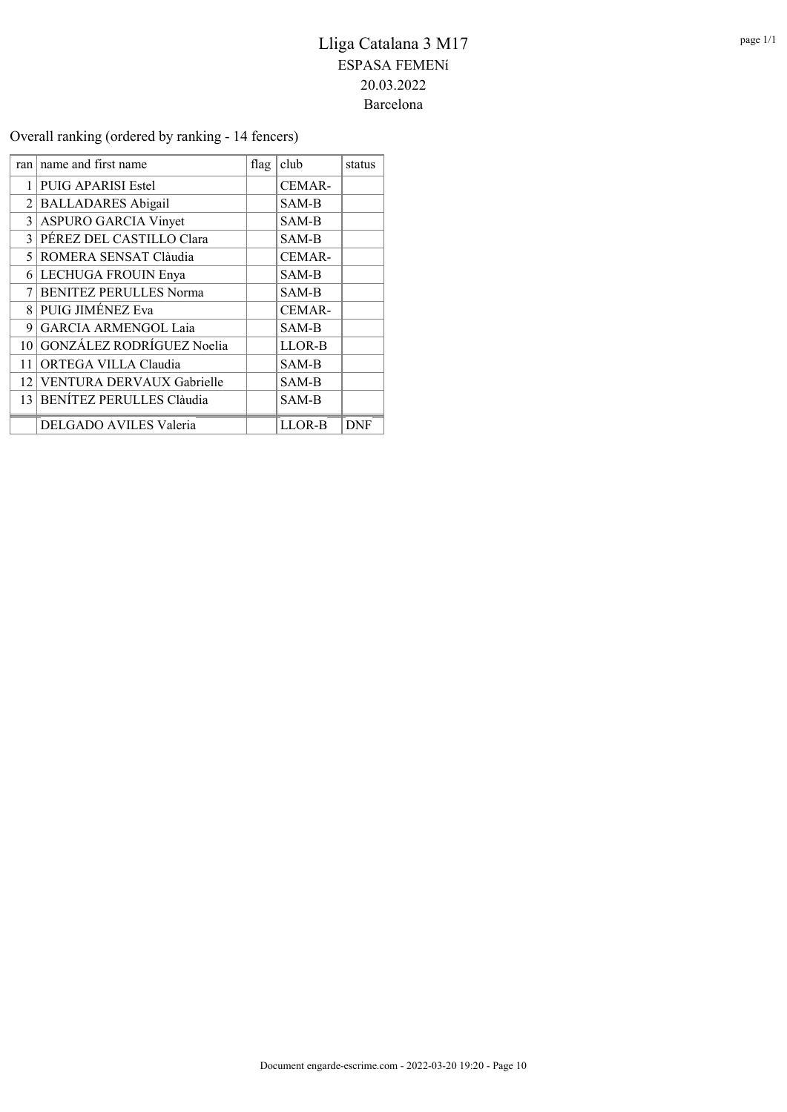### Overall ranking (ordered by ranking - 14 fencers)

| ran             | name and first name           | flag | club          | status     |
|-----------------|-------------------------------|------|---------------|------------|
| 1               | <b>PUIG APARISI Estel</b>     |      | <b>CEMAR-</b> |            |
| $\overline{2}$  | <b>BALLADARES</b> Abigail     |      | SAM-B         |            |
|                 | 3 ASPURO GARCIA Vinyet        |      | SAM-B         |            |
|                 | 3 PÉREZ DEL CASTILLO Clara    |      | SAM-B         |            |
|                 | 5 ROMERA SENSAT Clàudia       |      | <b>CEMAR-</b> |            |
|                 | 6 LECHUGA FROUIN Enya         |      | SAM-B         |            |
| 7               | <b>BENITEZ PERULLES Norma</b> |      | SAM-B         |            |
|                 | 8 PUIG JIMÉNEZ Eva            |      | CEMAR-        |            |
| 9               | GARCIA ARMENGOL Laia          |      | SAM-B         |            |
| 10 <sup>1</sup> | GONZÁLEZ RODRÍGUEZ Noelia     |      | LLOR-B        |            |
| 11              | ORTEGA VILLA Claudia          |      | SAM-B         |            |
|                 | 12 VENTURA DERVAUX Gabrielle  |      | SAM-B         |            |
|                 | 13 BENÍTEZ PERULLES Clàudia   |      | SAM-B         |            |
|                 | DELGADO AVILES Valeria        |      | LLOR-B        | <b>DNF</b> |